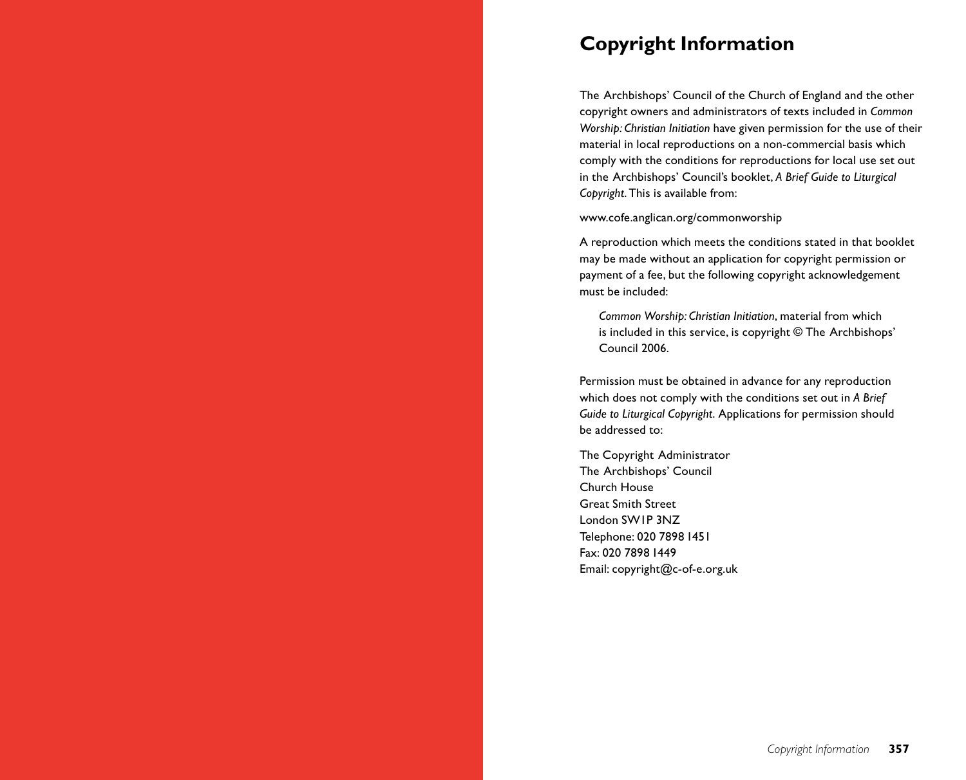# **Copyright Information**

The Archbishops' Council of the Church of England and the other copyright owners and administrators of texts included in *Common Worship: Christian Initiation* have given permission for the use of their material in local reproductions on a non-commercial basis which comply with the conditions for reproductions for local use set out in the Archbishops' Council's booklet, *A Brief Guide to Liturgical Copyright*.This is available from:

www.cofe.anglican.org/commonworship

A reproduction which meets the conditions stated in that booklet may be made without an application for copyright permission or payment of a fee, but the following copyright acknowledgement must be included:

*Common Worship: Christian Initiation*, material from which is included in this service, is copyright © The Archbishops' Council 2006.

Permission must be obtained in advance for any reproduction which does not comply with the conditions set out in *A Brief Guide to Liturgical Copyright*. Applications for permission should be addressed to:

The Copyright Administrator The Archbishops' Council Church House Great Smith Street London SW1P 3NZ Telephone: 020 7898 1451 Fax: 020 7898 1449 Email: copyright@c-of-e.org.uk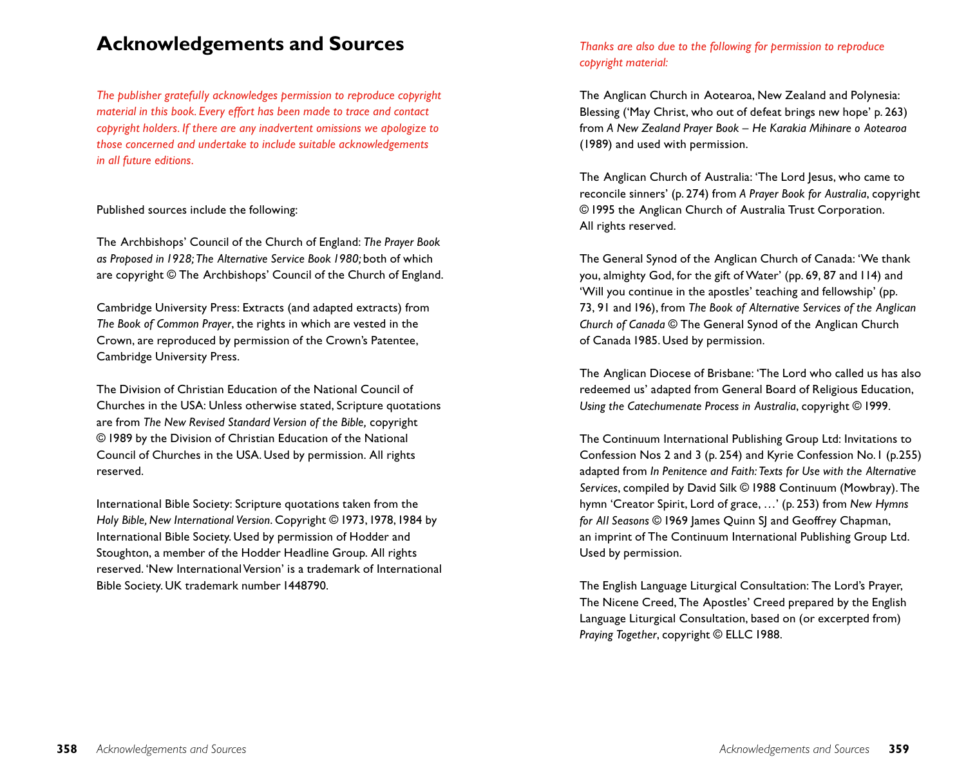# **Acknowledgements and Sources**

*The publisher gratefully acknowledges permission to reproduce copyright material in this book. Every effort has been made to trace and contact copyright holders. If there are any inadvertent omissions we apologize to those concerned and undertake to include suitable acknowledgements in all future editions.*

## Published sources include the following:

The Archbishops' Council of the Church of England: *The Prayer Book as Proposed in 1928; The Alternative Service Book 1980;* both of which are copyright © The Archbishops' Council of the Church of England.

Cambridge University Press: Extracts (and adapted extracts) from *The Book of Common Prayer*, the rights in which are vested in the Crown, are reproduced by permission of the Crown's Patentee, Cambridge University Press.

The Division of Christian Education of the National Council of Churches in the USA: Unless otherwise stated, Scripture quotations are from *The New Revised Standard Version of the Bible,* copyright © 1989 by the Division of Christian Education of the National Council of Churches in the USA. Used by permission. All rights reserved.

International Bible Society: Scripture quotations taken from the *Holy Bible, New International Version*. Copyright © 1973,1978,1984 by International Bible Society. Used by permission of Hodder and Stoughton, a member of the Hodder Headline Group. All rights reserved. 'New International Version' is a trademark of International Bible Society. UK trademark number 1448790.

# *Thanks are also due to the following for permission to reproduce copyright material:*

The Anglican Church in Aotearoa, New Zealand and Polynesia: Blessing ('May Christ, who out of defeat brings new hope' p. 263) from *A New Zealand Prayer Book – He Karakia Mihinare o Aotearoa* (1989) and used with permission.

The Anglican Church of Australia: 'The Lord Jesus, who came to reconcile sinners' (p. 274) from *A Prayer Book for Australia*, copyright © 1995 the Anglican Church of Australia Trust Corporation. All rights reserved.

The General Synod of the Anglican Church of Canada: 'We thank you, almighty God, for the gift of Water' (pp. 69, 87 and 114) and 'Will you continue in the apostles' teaching and fellowship' (pp. 73, 91 and 196), from *The Book of Alternative Services of the Anglican Church of Canada* © The General Synod of the Anglican Church of Canada 1985. Used by permission.

The Anglican Diocese of Brisbane: 'The Lord who called us has also redeemed us' adapted from General Board of Religious Education, *Using the Catechumenate Process in Australia*, copyright © 1999.

The Continuum International Publishing Group Ltd: Invitations to Confession Nos 2 and 3 (p. 254) and Kyrie Confession No.1 (p.255) adapted from *In Penitence and Faith: Texts for Use with the Alternative Services*, compiled by David Silk © 1988 Continuum (Mowbray). The hymn 'Creator Spirit, Lord of grace, …' (p. 253) from *New Hymns for All Seasons* © 1969 James Quinn SJ and Geoffrey Chapman, an imprint of The Continuum International Publishing Group Ltd. Used by permission.

The English Language Liturgical Consultation: The Lord's Prayer, The Nicene Creed, The Apostles' Creed prepared by the English Language Liturgical Consultation, based on (or excerpted from) *Praying Together*, copyright © ELLC 1988.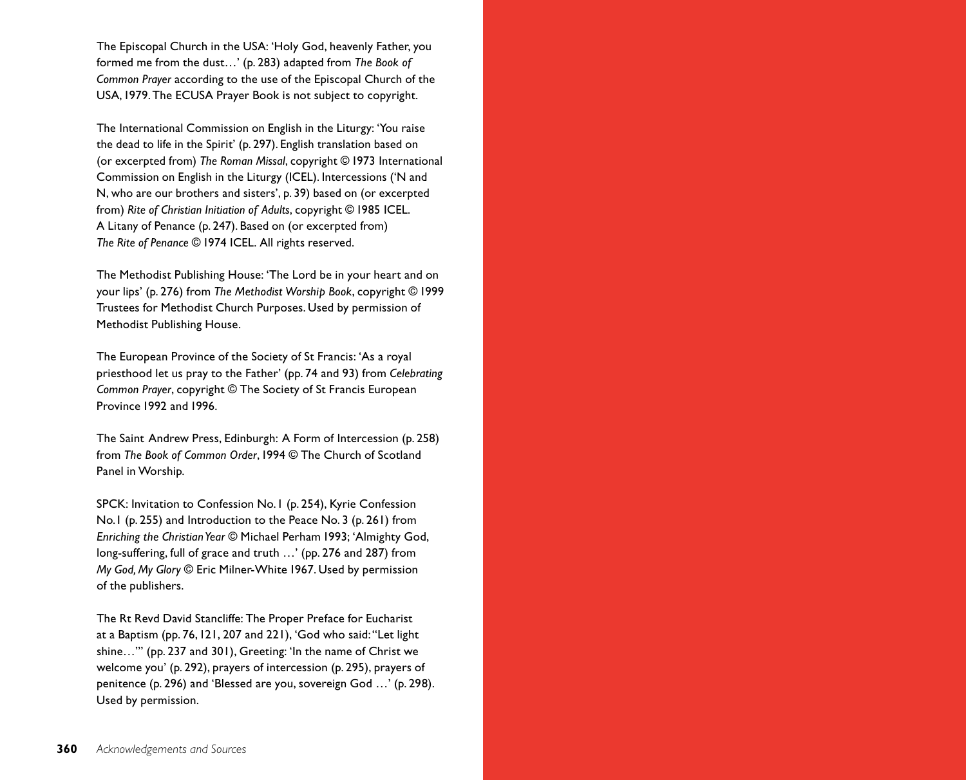The Episcopal Church in the USA: 'Holy God, heavenly Father, you formed me from the dust…' (p. 283) adapted from *The Book of Common Prayer* according to the use of the Episcopal Church of the USA,1979. The ECUSA Prayer Book is not subject to copyright.

The International Commission on English in the Liturgy: 'You raise the dead to life in the Spirit' (p. 297). English translation based on (or excerpted from) *The Roman Missal*, copyright © 1973 International Commission on English in the Liturgy (ICEL). Intercessions ('N and N, who are our brothers and sisters', p. 39) based on (or excerpted from) *Rite of Christian Initiation of Adults*, copyright © 1985 ICEL. A Litany of Penance (p. 247). Based on (or excerpted from) *The Rite of Penance* © 1974 ICEL. All rights reserved.

The Methodist Publishing House: 'The Lord be in your heart and on your lips' (p. 276) from *The Methodist Worship Book*, copyright © 1999 Trustees for Methodist Church Purposes. Used by permission of Methodist Publishing House.

The European Province of the Society of St Francis: 'As a royal priesthood let us pray to the Father' (pp. 74 and 93) from *Celebrating Common Prayer*, copyright © The Society of St Francis European Province 1992 and 1996.

The Saint Andrew Press, Edinburgh: A Form of Intercession (p. 258) from *The Book of Common Order*,1994 © The Church of Scotland Panel in Worship.

SPCK: Invitation to Confession No.1 (p. 254), Kyrie Confession No.1 (p. 255) and Introduction to the Peace No. 3 (p. 261) from *Enriching the Christian Year* © Michael Perham 1993; 'Almighty God, long-suffering, full of grace and truth …' (pp. 276 and 287) from *My God, My Glory* © Eric Milner-White 1967. Used by permission of the publishers.

The Rt Revd David Stancliffe: The Proper Preface for Eucharist at a Baptism (pp. 76,121, 207 and 221), 'God who said:"Let light shine…"' (pp. 237 and 301), Greeting: 'In the name of Christ we welcome you' (p. 292), prayers of intercession (p. 295), prayers of penitence (p. 296) and 'Blessed are you, sovereign God …' (p. 298). Used by permission.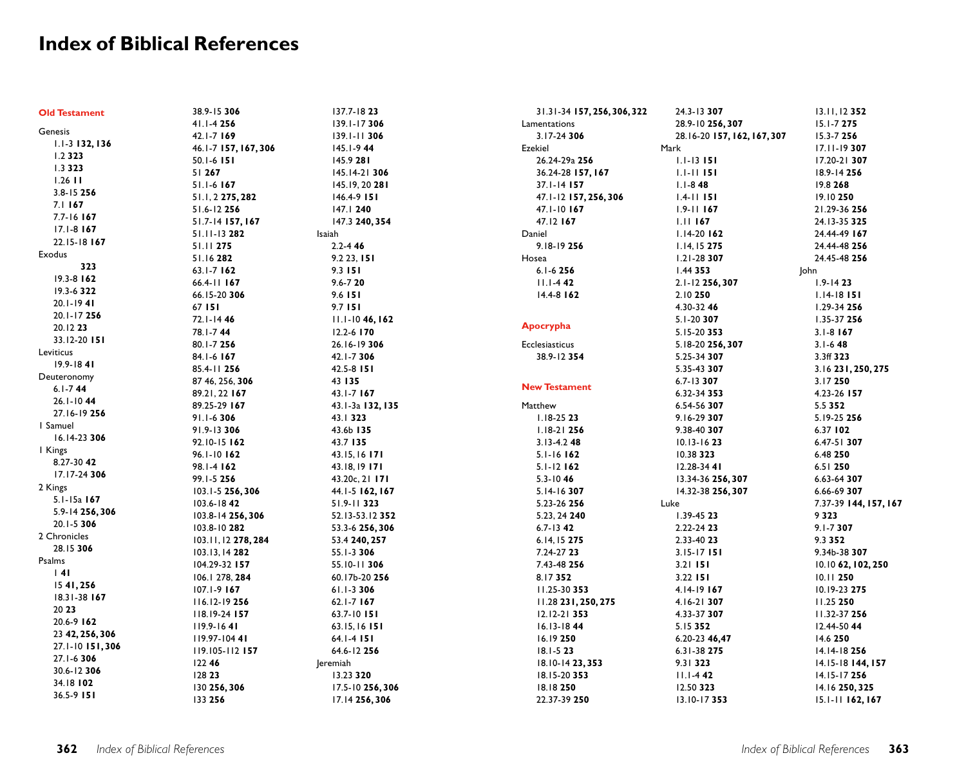# **Index of Biblical References**

| <b>Old Testament</b> | 38.9-15 306          | 137.7-1823            | 31.31-34 157, 256, 306, 322 | 24.3-13 307                 | 13.11, 12 352           |
|----------------------|----------------------|-----------------------|-----------------------------|-----------------------------|-------------------------|
|                      | 41.1-4 256           | 139.1-17 306          | Lamentations                | 28.9-10 256, 307            | 15.1-7 275              |
| Genesis              | 42.1-7 169           | 139.1-11 306          | 3.17-24 306                 | 28.16-20 157, 162, 167, 307 | 15.3-7 256              |
| 1.1-3 132, 136       | 46.1-7 157, 167, 306 | 145.1-944             | Ezekiel                     | Mark                        | 17.11-19 307            |
| 1.2323               | 50.1-6 151           | 145.9 281             | 26.24-29a 256               | $1.1 - 13$ 151              | 17.20-21 307            |
| 1.3323               | 51 267               | 145.14-21 306         | 36.24-28 157, 167           | $1.1 - 11$ 151              | 18.9-14 256             |
| $1.26$ $11$          | 51.1-6 167           | 145.19, 20 281        | 37.1-14 157                 | $1.1 - 848$                 | 19.8 268                |
| 3.8-15 256           | 51.1, 2 275, 282     | 146.4-9 151           | 47.1-12 157, 256, 306       | $1.4 - 11$ 151              | 19.10 250               |
| $7.1$ 167            | 51.6-12 256          | 147.1 240             | 47.1-10 167                 | $1.9 - 11$ 167              | 21.29-36 256            |
| 7.7-16 167           | 51.7-14 157, 167     | 147.3 240, 354        | 47.12 167                   | $1.11$ 167                  | 24.13-35 325            |
| $17.1 - 8$ 167       | 51.11-13 282         | Isaiah                | Daniel                      | $1.14 - 20$ 162             | 24.44-49 167            |
| 22.15-18 167         | 51.11 275            | $2.2 - 446$           | 9.18-19 256                 | 1.14, 15 275                | 24.44-48 256            |
| Exodus               | 51.16282             | 9.223, 151            | Hosea                       | $1.21 - 28307$              | 24.45-48 256            |
| 323                  | $63.1 - 7$ 162       | 9.3 151               | $6.1 - 6256$                | 1.44 353                    | John                    |
| 19.3-8 162           | 66.4-11 167          | $9.6 - 720$           | $11.1 - 442$                | 2.1-12 256, 307             | $1.9 - 1423$            |
| 19.3-6 322           | 66.15-20 306         | 9.6 151               | 14.4-8 162                  | 2.10 250                    | $1.14 - 18$ 151         |
| $20.1 - 1941$        | 67 151               | 9.7 151               |                             | 4.30-32 46                  | 1.29-34 256             |
| 20.1-17 256          | 72.1-1446            | $11.1 - 1046, 162$    |                             | 5.1-20 307                  | 1.35-37 256             |
| 20.12 23             | 78.1-744             | 12.2-6 170            | Apocrypha                   | 5.15-20 353                 | $3.1 - 8$ 167           |
| 33.12-20 151         | 80.1-7 256           | 26.16-19 306          | Ecclesiasticus              | 5.18-20 256, 307            | $3.1 - 648$             |
| Leviticus            | 84.1-6 167           | 42.1-7306             | 38.9-12 354                 | 5.25-34 307                 | 3.3ff 323               |
| $19.9 - 1841$        | 85.4-11 256          | 42.5-8 151            |                             | 5.35-43 307                 | 3.16 231, 250, 275      |
| Deuteronomy          | 87 46, 256, 306      | 43 135                |                             | $6.7 - 13307$               | 3.17250                 |
| $6.1 - 744$          | 89.21, 22 167        | 43.1-7 167            | <b>New Testament</b>        | 6.32-34 353                 | 4.23-26 157             |
| $26.1 - 1044$        | 89.25-29 167         | 43.1-3a 132, 135      | Matthew                     | 6.54-56 307                 | 5.5 352                 |
| 27.16-19 256         |                      |                       | $1.18 - 2523$               |                             |                         |
| I Samuel             | 91.1-6306            | 43.1323               | $1.18 - 21$ 256             | 9.16-29 307                 | 5.19-25 256<br>6.37 102 |
| 16.14-23 306         | 91.9-13 306          | 43.6b 135<br>43.7 135 | $3.13 - 4.248$              | 9.38-40 307                 |                         |
| I Kings              | 92.10-15 162         |                       |                             | $10.13 - 1623$              | $6.47 - 51$ 307         |
| 8.27-30 42           | 96.1-10 162          | 43.15, 16 171         | 5.1-16 162                  | 10.38 323                   | 6.48 250                |
| 17.17-24 306         | 98.1-4 162           | 43.18, 19 171         | $5.1 - 12$ 162              | $12.28 - 3441$              | $6.51$ 250              |
| 2 Kings              | 99.1-5 256           | 43.20c, 21 171        | $5.3 - 1046$                | 13.34-36 256, 307           | 6.63-64 307             |
| 5.1-15a 167          | 103.1-5 256,306      | 44.1-5 162, 167       | 5.14-16 307                 | 14.32-38 256, 307           | 6.66-69 307             |
| 5.9-14 256, 306      | 103.6-1842           | 51.9-11 323           | 5.23-26 256                 | Luke                        | 7.37-39 144, 157, 167   |
| 20.1-5 306           | 103.8-14 256, 306    | 52.13-53.12 352       | 5.23, 24 240                | 1.39-45 23                  | 9323                    |
| 2 Chronicles         | 103.8-10 282         | 53.3-6 256, 306       | $6.7 - 13$ 42               | 2.22-24 23                  | $9.1 - 7307$            |
| 28.15 306            | 103.11, 12 278, 284  | 53.4 240, 257         | 6.14, 15 275                | 2.33-40 23                  | 9.3 352                 |
| Psalms               | 103.13, 14 282       | 55.1-3 306            | 7.24-27 23                  | $3.15 - 17$ 151             | 9.34b-38 307            |
| 4                    | 104.29-32 157        | 55.10-11 306          | 7.43-48 256                 | $3.21$ 151                  | 10.10 62, 102, 250      |
| 1541,256             | 106.1 278, 284       | 60.17b-20 256         | 8.17352                     | 3.22 151                    | 10.11 250               |
| 18.31-38 167         | $107.1 - 9167$       | 61.1-3 306            | 11.25-30 353                | 4.14-19 167                 | 10.19-23 275            |
| 20 23                | 116.12-19 256        | $62.1 - 7$ 167        | 11.28 231, 250, 275         | 4.16-21 307                 | 11.25 250               |
| 20.6-9 162           | 118.19-24 157        | 63.7-10 151           | $12.12 - 21$ 353            | 4.33-37 307                 | 11.32-37 256            |
| 23 42, 256, 306      | $119.9 - 1641$       | 63.15, 16 151         | $16.13 - 184$               | 5.15352                     | 12.44-50 44             |
| 27.1-10 151,306      | 119.97-10441         | 64.1-4 151            | 16.19 250                   | 6.20-23 46,47               | 14.6 250                |
| 27.1-6 306           | 119.105-112 157      | 64.6-12 256           | 18.1-5 23                   | 6.31-38 275                 | 14.14-18 256            |
| 30.6-12 306          | 122 46               | Jeremiah              | 18.10-14 23, 353            | 9.31 323                    | 14.15-18 144, 157       |
| 34.18 102            | 128 23               | 13.23 320             | 18.15-20 353                | $11.1 - 442$                | 14.15-17 256            |
| 36.5-9 151           | 130 256,306          | 17.5-10 256, 306      | 18.18 250                   | 12.50 323                   | 14.16 250, 325          |
|                      | 133 256              | 17.14 256, 306        | 22.37-39 250                | 13.10-17353                 | 15.1-11 162, 167        |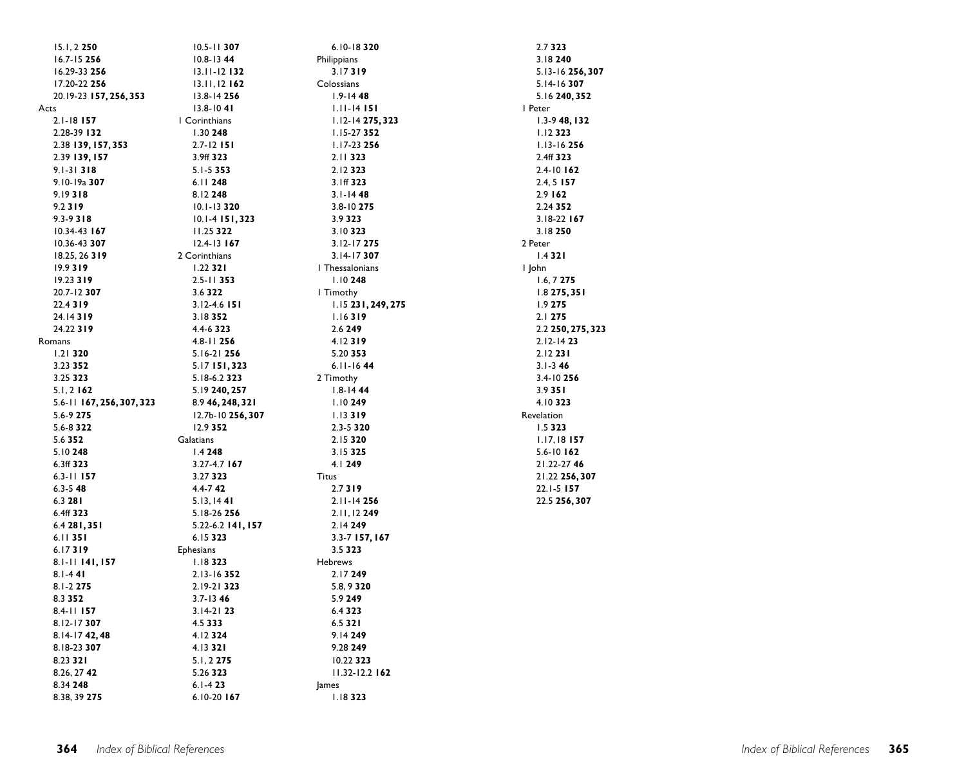| 15.1, 2 250               | $10.5 - 11$ 307     | 6.10-18320         | 2.7 323           |
|---------------------------|---------------------|--------------------|-------------------|
| 16.7-15 256               | $10.8 - 13$ 44      | Philippians        | 3.18240           |
| 16.29-33 256              | $13.11 - 12$ 132    | 3.17319            | 5.13-16 256, 307  |
| 17.20-22 256              | $13.11, 12$ 162     | Colossians         | 5.14-16 307       |
| 20.19-23 157, 256, 353    | 13.8-14 256         | $1.9 - 1448$       | 5.16 240, 352     |
| Acts                      | $13.8 - 1041$       | 1.11-14 151        | I Peter           |
| $2.1 - 18$ 157            | I Corinthians       | 1.12-14 275, 323   | 1.3-9 48, 132     |
| 2.28-39 132               | 1.30248             | 1.15-27 352        | 1.12323           |
| 2.38 139, 157, 353        | $2.7 - 12$ 151      | 1.17-23 256        | $1.13 - 16256$    |
| 2.39 139, 157             | 3.9ff 323           | 2.11323            | 2.4ff 323         |
| $9.1 - 31318$             | $5.1 - 5.353$       | 2.12323            | $2.4 - 10$ 162    |
| 9.10-19a 307              | 6.11 248            | 3.1ff 323          | $2.4, 5$ 157      |
| 9.19318                   | 8.12 248            | $3.1 - 1448$       | 2.9 162           |
| 9.2319                    | $10.1 - 13320$      | 3.8-10 275         | 2.24 352          |
| $9.3 - 9.318$             | $10.1 - 4$ 151, 323 | 3.9 3 2 3          | 3.18-22 167       |
| 10.34-43 167              | 11.25 322           | 3.10323            | 3.18250           |
| 10.36-43 307              | $12.4 - 13$ 167     | 3.12-17 275        | 2 Peter           |
| 18.25, 26 319             | 2 Corinthians       | 3.14-17307         | 1.4321            |
| 19.9319                   | $1.22$ 321          | I Thessalonians    | I John            |
| 19.23 319                 | $2.5 - 11$ 353      | 1.10248            | 1.6, 7275         |
| 20.7-12 307               | 3.6322              | I Timothy          | 1.8275,351        |
| 22.4319                   |                     | 1.15 231, 249, 275 |                   |
|                           | $3.12 - 4.6$ 151    |                    | 1.9 275           |
| 24.14319                  | 3.18352             | 1.16319            | 2.1 275           |
| 24.22 319                 | 4.4-6 323           | 2.6 249            | 2.2 250, 275, 323 |
| Romans                    | 4.8-11 256          | 4.12319            | $2.12 - 1423$     |
| $1.21$ 320                | 5.16-21 256         | 5.20 353           | $2.12$ 231        |
| 3.23 352                  | 5.17 151,323        | $6.11 - 1644$      | $3.1 - 346$       |
| 3.25 323                  | 5.18-6.2 323        | 2 Timothy          | 3.4-10 256        |
| $5.1, 2$ 162              | 5.19 240, 257       | $1.8 - 144$        | 3.9351            |
| 5.6-11 167, 256, 307, 323 | 8.9 46, 248, 321    | 1.10249            | 4.10323           |
| 5.6-9 275                 | 12.7b-10 256, 307   | 1.13319            | Revelation        |
| 5.6-8 322                 | 12.9 352            | 2.3-5 320          | 1.5 3 2 3         |
| 5.6 352                   | Galatians           | 2.15320            | $1.17, 18$ 157    |
| 5.10248                   | 1.4248              | 3.15 325           | 5.6-10 162        |
| 6.3ff 323                 | 3.27-4.7 167        | 4.1249             | 21.22-2746        |
| $6.3 - 11$ 157            | 3.27 323            | <b>Titus</b>       | 21.22 256, 307    |
| $6.3 - 548$               | $4.4 - 742$         | 2.7319             | 22.1-5 157        |
| 6.3 281                   | 5.13, 1441          | 2.11-14 256        | 22.5 256, 307     |
| 6.4ff 323                 | 5.18-26 256         | 2.11, 12 249       |                   |
| 6.4 281, 351              | 5.22-6.2 141, 157   | 2.14 249           |                   |
| 6.11351                   | 6.15 323            | 3.3-7 157, 167     |                   |
| 6.17319                   | <b>Ephesians</b>    | 3.5 323            |                   |
| 8.1-11 141, 157           | 1.18323             | <b>Hebrews</b>     |                   |
| $8.1 - 441$               | 2.13-16352          | 2.17249            |                   |
| 8.1-2 275                 | 2.19-21 323         | 5.8, 9 3 20        |                   |
| 8.3 352                   | $3.7 - 1346$        | 5.9 249            |                   |
| 8.4-11 157                | $3.14 - 21$ 23      | 6.4 3 2 3          |                   |
| 8.12-17307                | 4.5 333             | 6.5 3 2 1          |                   |
| 8.14-17 42,48             | 4.12324             | 9.14 249           |                   |
| 8.18-23 307               | 4.13321             | 9.28 249           |                   |
| 8.23 321                  | 5.1, 2 275          | 10.22 323          |                   |
| 8.26, 27 42               | 5.26 323            | 11.32-12.2 162     |                   |
| 8.34 248                  | $6.1 - 423$         | lames              |                   |
| 8.38, 39 275              | 6.10-20 167         | 1.18323            |                   |
|                           |                     |                    |                   |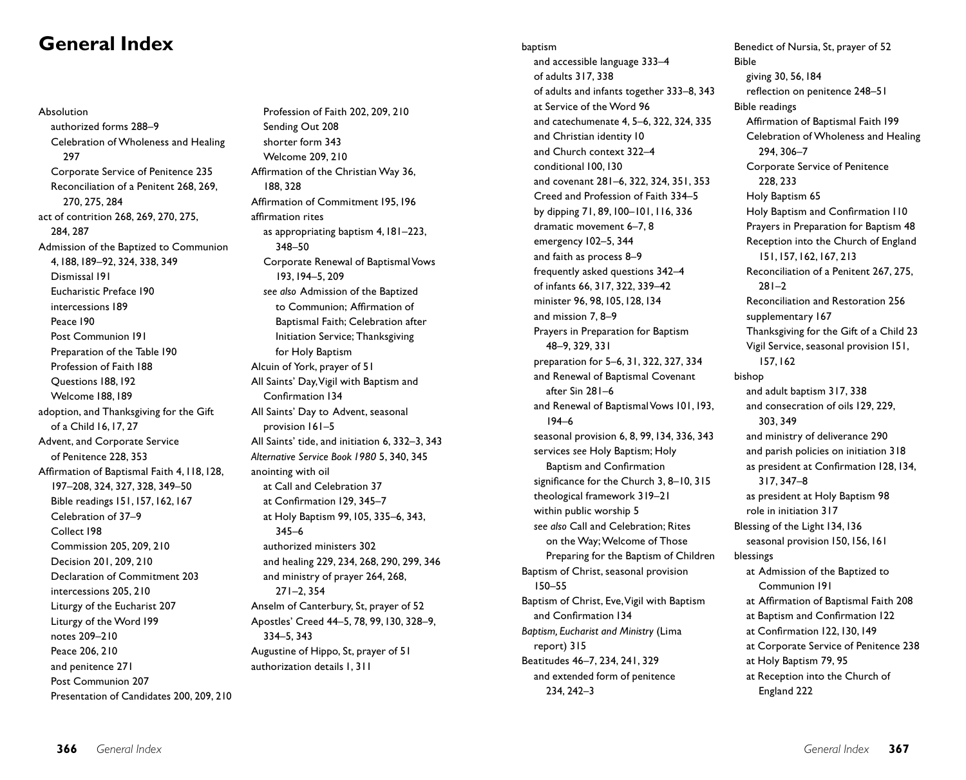# **General Index**

Absolution authorized forms 288–9 Celebration of Wholeness and Healing 297 Corporate Service of Penitence 235 Reconciliation of a Penitent 268, 269, 270, 275, 284 act of contrition 268, 269, 270, 275, 284, 287 Admission of the Baptized to Communion 4,188,189–92, 324, 338, 349 Dismissal 191 Eucharistic Preface 190 intercessions 189 Peace 190 Post Communion 191 Preparation of the Table 190 Profession of Faith 188 Questions 188,192 Welcome 188,189 adoption, and Thanksgiving for the Gift of a Child 16,17, 27 Advent, and Corporate Service of Penitence 228, 353 Affirmation of Baptismal Faith 4,118,128, 197–208, 324, 327, 328, 349–50 Bible readings 151,157,162,167 Celebration of 37–9 Collect 198 Commission 205, 209, 210 Decision 201, 209, 210 Declaration of Commitment 203 intercessions 205, 210 Liturgy of the Eucharist 207 Liturgy of the Word 199 notes 209–210 Peace 206, 210 and penitence 271 Post Communion 207 Presentation of Candidates 200, 209, 210

Profession of Faith 202, 209, 210 Sending Out 208 shorter form 343 Welcome 209, 210 Affirmation of the Christian Way 36, 188, 328 Affirmation of Commitment 195,196 affirmation rites as appropriating baptism 4,181–223, 348–50 Corporate Renewal of Baptismal Vows 193,194–5, 209 *see also* Admission of the Baptized to Communion; Affirmation of Baptismal Faith; Celebration after Initiation Service; Thanksgiving for Holy Baptism Alcuin of York, prayer of 51 All Saints' Day,Vigil with Baptism and Confirmation 134 All Saints' Day to Advent, seasonal provision 161–5 All Saints' tide, and initiation 6, 332–3, 343 *Alternative Service Book 1980* 5, 340, 345 anointing with oil at Call and Celebration 37 at Confirmation 129, 345–7 at Holy Baptism 99,105, 335–6, 343, 345–6 authorized ministers 302 and healing 229, 234, 268, 290, 299, 346 and ministry of prayer 264, 268, 271–2, 354 Anselm of Canterbury, St, prayer of 52 Apostles' Creed 44–5, 78, 99,130, 328–9, 334–5, 343 Augustine of Hippo, St, prayer of 51 authorization details 1, 311

#### baptism

and accessible language 333–4 of adults 317, 338 of adults and infants together 333–8, 343 at Service of the Word 96 and catechumenate 4, 5–6, 322, 324, 335 and Christian identity 10 and Church context 322–4 conditional 100,130 and covenant 281–6, 322, 324, 351, 353 Creed and Profession of Faith 334–5 by dipping 71, 89,100–101,116, 336 dramatic movement 6–7, 8 emergency 102–5, 344 and faith as process 8–9 frequently asked questions 342–4 of infants 66, 317, 322, 339–42 minister 96, 98,105,128,134 and mission 7, 8–9 Prayers in Preparation for Baptism 48–9, 329, 331 preparation for 5–6, 31, 322, 327, 334 and Renewal of Baptismal Covenant after Sin 281–6 and Renewal of Baptismal Vows 101,193, 194–6 seasonal provision 6, 8, 99,134, 336, 343 services *see* Holy Baptism; Holy Baptism and Confirmation significance for the Church 3, 8–10, 315 theological framework 319–21 within public worship 5 *see also* Call and Celebration; Rites on the Way; Welcome of Those Preparing for the Baptism of Children Baptism of Christ, seasonal provision 150–55 Baptism of Christ, Eve,Vigil with Baptism and Confirmation 134 *Baptism, Eucharist and Ministry* (Lima report) 315 Beatitudes 46–7, 234, 241, 329 and extended form of penitence 234, 242–3

Benedict of Nursia, St, prayer of 52 Bible giving 30, 56,184 reflection on penitence 248–51 Bible readings Affirmation of Baptismal Faith 199 Celebration of Wholeness and Healing 294, 306–7 Corporate Service of Penitence 228, 233 Holy Baptism 65 Holy Baptism and Confirmation 110 Prayers in Preparation for Baptism 48 Reception into the Church of England 151,157,162,167, 213 Reconciliation of a Penitent 267, 275, 281–2 Reconciliation and Restoration 256 supplementary 167 Thanksgiving for the Gift of a Child 23 Vigil Service, seasonal provision 151, 157,162 bishop and adult baptism 317, 338 and consecration of oils 129, 229, 303, 349 and ministry of deliverance 290 and parish policies on initiation 318 as president at Confirmation 128,134, 317, 347–8 as president at Holy Baptism 98 role in initiation 317 Blessing of the Light 134,136 seasonal provision 150,156,161 blessings at Admission of the Baptized to Communion 191 at Affirmation of Baptismal Faith 208 at Baptism and Confirmation 122 at Confirmation 122,130,149 at Corporate Service of Penitence 238 at Holy Baptism 79, 95 at Reception into the Church of England 222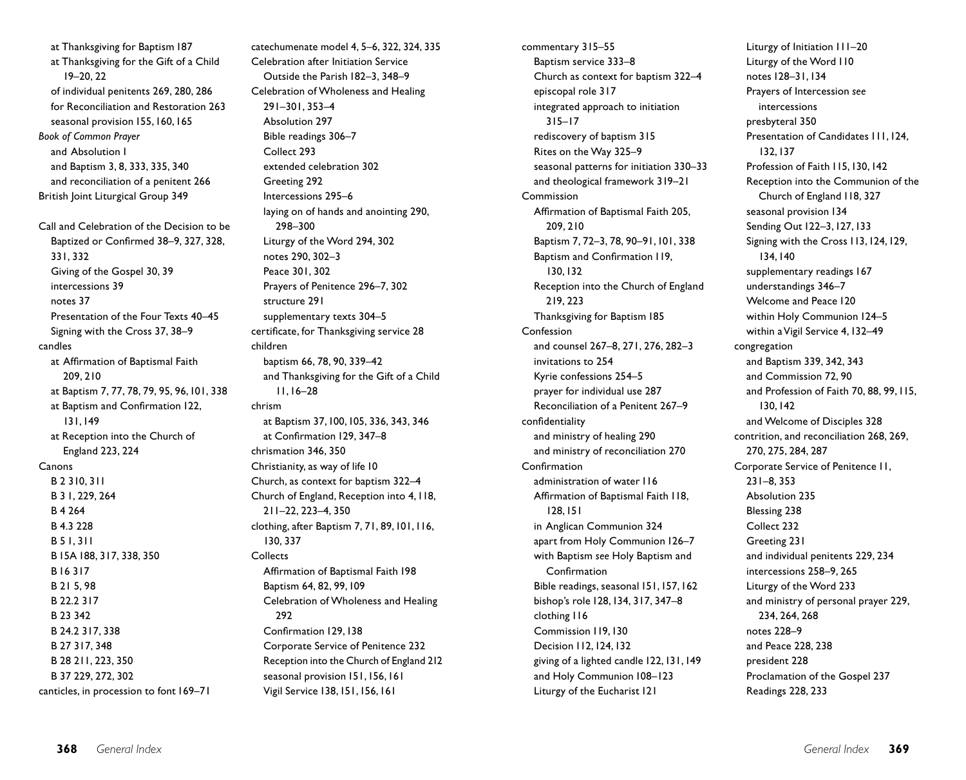at Thanksgiving for Baptism 187 at Thanksgiving for the Gift of a Child 19–20, 22 of individual penitents 269, 280, 286 for Reconciliation and Restoration 263 seasonal provision 155,160,165 *Book of Common Prayer* and Absolution 1 and Baptism 3, 8, 333, 335, 340 and reconciliation of a penitent 266 British Joint Liturgical Group 349 Call and Celebration of the Decision to be Baptized or Confirmed 38–9, 327, 328, 331, 332 Giving of the Gospel 30, 39 intercessions 39 notes 37 Presentation of the Four Texts 40–45 Signing with the Cross 37, 38–9 candles at Affirmation of Baptismal Faith 209, 210 at Baptism 7, 77, 78, 79, 95, 96,101, 338 at Baptism and Confirmation 122, 131,149 at Reception into the Church of England 223, 224 Canons B 2 310, 311 B 3 1, 229, 264 B 4 264 B 4.3 228 B 5 1, 311 B 15A 188, 317, 338, 350 B 16 317 B 21 5, 98 B 22.2 317 B 23 342 B 24.2 317, 338 B 27 317, 348 B 28 211, 223, 350 B 37 229, 272, 302 canticles, in procession to font 169–71

catechumenate model 4, 5–6, 322, 324, 335 Celebration after Initiation Service Outside the Parish 182–3, 348–9 Celebration of Wholeness and Healing 291–301, 353–4 Absolution 297 Bible readings 306–7 Collect 293 extended celebration 302 Greeting 292 Intercessions 295–6 laying on of hands and anointing 290, 298–300 Liturgy of the Word 294, 302 notes 290, 302–3 Peace 301, 302 Prayers of Penitence 296–7, 302 structure 291 supplementary texts 304–5 certificate, for Thanksgiving service 28 children baptism 66, 78, 90, 339–42 and Thanksgiving for the Gift of a Child 11,16–28 chrism at Baptism 37,100,105, 336, 343, 346 at Confirmation 129, 347–8 chrismation 346, 350 Christianity, as way of life 10 Church, as context for baptism 322–4 Church of England, Reception into 4,118, 211–22, 223–4, 350 clothing, after Baptism 7, 71, 89,101,116, 130, 337 Collects Affirmation of Baptismal Faith 198 Baptism 64, 82, 99,109 Celebration of Wholeness and Healing 292 Confirmation 129,138 Corporate Service of Penitence 232 Reception into the Church of England 212 seasonal provision 151,156,161 Vigil Service 138,151,156,161

commentary 315–55 Baptism service 333–8 Church as context for baptism 322–4 episcopal role 317 integrated approach to initiation 315–17 rediscovery of baptism 315 Rites on the Way 325–9 seasonal patterns for initiation 330–33 and theological framework 319–21 Commission Affirmation of Baptismal Faith 205, 209, 210 Baptism 7, 72–3, 78, 90–91,101, 338 Baptism and Confirmation 119, 130,132 Reception into the Church of England 219, 223 Thanksgiving for Baptism 185 Confession and counsel 267–8, 271, 276, 282–3 invitations to 254 Kyrie confessions 254–5 prayer for individual use 287 Reconciliation of a Penitent 267–9 confidentiality and ministry of healing 290 and ministry of reconciliation 270 Confirmation administration of water 116 Affirmation of Baptismal Faith 118, 128,151 in Anglican Communion 324 apart from Holy Communion 126–7 with Baptism *see* Holy Baptism and Confirmation Bible readings, seasonal 151,157,162 bishop's role 128,134, 317, 347–8 clothing 116 Commission 119,130 Decision 112,124,132 giving of a lighted candle 122,131,149 and Holy Communion 108–123 Liturgy of the Eucharist 121

Liturgy of Initiation 111–20 Liturgy of the Word 110 notes 128–31,134 Prayers of Intercession *see* intercessions presbyteral 350 Presentation of Candidates III.124. 132,137 Profession of Faith 115,130,142 Reception into the Communion of the Church of England 118, 327 seasonal provision 134 Sending Out 122–3,127,133 Signing with the Cross 113,124,129, 134,140 supplementary readings 167 understandings 346–7 Welcome and Peace 120 within Holy Communion 124–5 within a Vigil Service 4,132–49 congregation and Baptism 339, 342, 343 and Commission 72, 90 and Profession of Faith 70, 88, 99,115, 130,142 and Welcome of Disciples 328 contrition, and reconciliation 268, 269, 270, 275, 284, 287 Corporate Service of Penitence 11, 231–8, 353 Absolution 235 Blessing 238 Collect 232 Greeting 231 and individual penitents 229, 234 intercessions 258–9, 265 Liturgy of the Word 233 and ministry of personal prayer 229, 234, 264, 268 notes 228–9 and Peace 228, 238 president 228 Proclamation of the Gospel 237 Readings 228, 233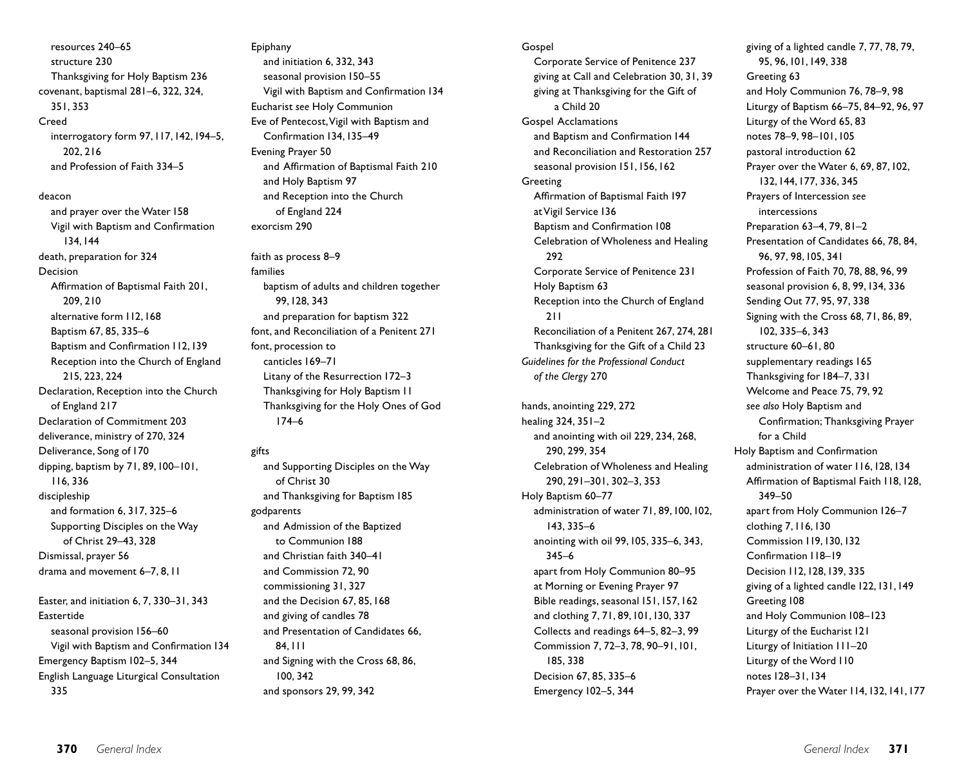resources 240–65 structure 230 Thanksgiving for Holy Baptism 236 covenant, baptismal 281–6, 322, 324, 351, 353 Creed interrogatory form 97,117,142,194–5, 202, 216 and Profession of Faith 334–5

deacon and prayer over the Water 158 Vigil with Baptism and Confirmation 134,144 death, preparation for 324 Decision Affirmation of Baptismal Faith 201, 209, 210 alternative form 112,168 Baptism 67, 85, 335–6 Baptism and Confirmation 112,139 Reception into the Church of England 215, 223, 224 Declaration, Reception into the Church of England 217 Declaration of Commitment 203 deliverance, ministry of 270, 324 Deliverance, Song of 170 dipping, baptism by 71, 89,100–101, 116, 336 discipleship and formation 6, 317, 325–6 Supporting Disciples on the Way of Christ 29–43, 328 Dismissal, prayer 56 drama and movement 6–7, 8,11

Easter, and initiation 6, 7, 330–31, 343 Eastertide seasonal provision 156–60 Vigil with Baptism and Confirmation 134 Emergency Baptism 102–5, 344 English Language Liturgical Consultation 335

Epiphany and initiation 6, 332, 343 seasonal provision 150–55 Vigil with Baptism and Confirmation 134 Eucharist *see* Holy Communion Eve of Pentecost,Vigil with Baptism and Confirmation 134,135–49 Evening Prayer 50 and Affirmation of Baptismal Faith 210 and Holy Baptism 97 and Reception into the Church of England 224 exorcism 290

faith as process 8–9 families baptism of adults and children together 99,128, 343 and preparation for baptism 322 font, and Reconciliation of a Penitent 271 font, procession to canticles 169–71 Litany of the Resurrection 172–3 Thanksgiving for Holy Baptism 11 Thanksgiving for the Holy Ones of God 174–6

## gifts

and Supporting Disciples on the Way of Christ 30 and Thanksgiving for Baptism 185 godparents and Admission of the Baptized to Communion 188 and Christian faith 340–41 and Commission 72, 90 commissioning 31, 327 and the Decision 67, 85,168 and giving of candles 78 and Presentation of Candidates 66, 84,111 and Signing with the Cross 68, 86, 100, 342 and sponsors 29, 99, 342

#### **Gospel**

Corporate Service of Penitence 237 giving at Call and Celebration 30, 31, 39 giving at Thanksgiving for the Gift of a Child 20 Gospel Acclamations and Baptism and Confirmation 144 and Reconciliation and Restoration 257 seasonal provision 151,156,162 **Greeting** Affirmation of Baptismal Faith 197 at Vigil Service 136 Baptism and Confirmation 108 Celebration of Wholeness and Healing 292 Corporate Service of Penitence 231 Holy Baptism 63 Reception into the Church of England 211 Reconciliation of a Penitent 267, 274, 281 Thanksgiving for the Gift of a Child 23 *Guidelines for the Professional Conduct of the Clergy* 270 hands, anointing 229, 272

healing 324, 351–2 and anointing with oil 229, 234, 268, 290, 299, 354 Celebration of Wholeness and Healing 290, 291–301, 302–3, 353 Holy Baptism 60–77 administration of water 71, 89,100,102, 143, 335–6 anointing with oil 99,105, 335–6, 343, 345–6 apart from Holy Communion 80–95 at Morning or Evening Prayer 97 Bible readings, seasonal 151,157,162 and clothing 7, 71, 89,101,130, 337 Collects and readings 64–5, 82–3, 99 Commission 7, 72–3, 78, 90–91,101, 185, 338 Decision 67, 85, 335–6 Emergency 102–5, 344

giving of a lighted candle 7, 77, 78, 79, 95, 96,101,149, 338 Greeting 63 and Holy Communion 76, 78–9, 98 Liturgy of Baptism 66–75, 84–92, 96, 97 Liturgy of the Word 65, 83 notes 78–9, 98–101,105 pastoral introduction 62 Prayer over the Water 6, 69, 87, 102, 132,144,177, 336, 345 Prayers of Intercession *see* intercessions Preparation 63–4, 79, 81–2 Presentation of Candidates 66, 78, 84, 96, 97, 98,105, 341 Profession of Faith 70, 78, 88, 96, 99 seasonal provision 6, 8, 99,134, 336 Sending Out 77, 95, 97, 338 Signing with the Cross 68, 71, 86, 89, 102, 335–6, 343 structure 60–61, 80 supplementary readings 165 Thanksgiving for 184–7, 331 Welcome and Peace 75, 79, 92 *see also* Holy Baptism and Confirmation; Thanksgiving Prayer for a Child Holy Baptism and Confirmation administration of water 116,128,134 Affirmation of Baptismal Faith 118,128, 349–50 apart from Holy Communion 126–7 clothing 7,116,130 Commission 119,130,132 Confirmation 118–19 Decision 112,128,139, 335 giving of a lighted candle 122,131,149 Greeting 108 and Holy Communion 108–123 Liturgy of the Eucharist 121 Liturgy of Initiation 111–20 Liturgy of the Word 110 notes 128–31,134 Prayer over the Water 114, 132, 141, 177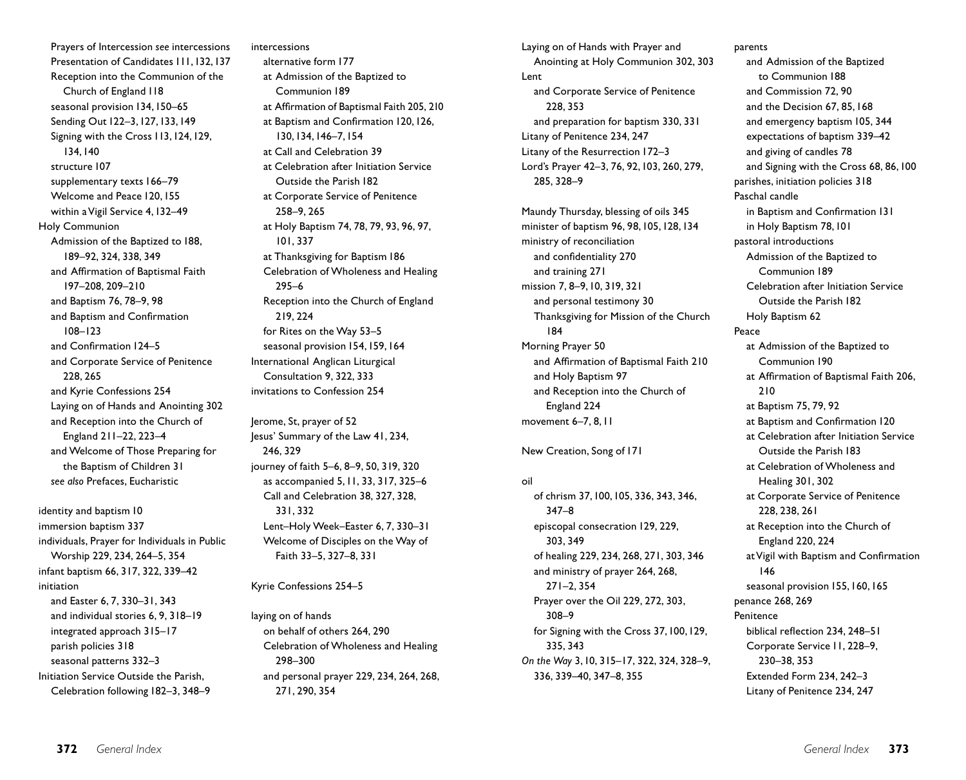Prayers of Intercession *see* intercessions Presentation of Candidates 111,132,137 Reception into the Communion of the Church of England 118 seasonal provision 134,150–65 Sending Out 122–3,127,133,149 Signing with the Cross 113,124,129, 134,140 structure 107 supplementary texts 166–79 Welcome and Peace 120,155 within a Vigil Service 4,132–49 Holy Communion Admission of the Baptized to 188, 189–92, 324, 338, 349 and Affirmation of Baptismal Faith 197–208, 209–210 and Baptism 76, 78–9, 98 and Baptism and Confirmation 108–123 and Confirmation 124–5 and Corporate Service of Penitence 228, 265 and Kyrie Confessions 254 Laying on of Hands and Anointing 302 and Reception into the Church of England 211–22, 223–4 and Welcome of Those Preparing for the Baptism of Children 31 *see also* Prefaces, Eucharistic

identity and baptism 10 immersion baptism 337 individuals, Prayer for Individuals in Public Worship 229, 234, 264–5, 354 infant baptism 66, 317, 322, 339–42 initiation and Easter 6, 7, 330–31, 343 and individual stories 6, 9, 318–19 integrated approach 315–17 parish policies 318 seasonal patterns 332–3 Initiation Service Outside the Parish, Celebration following 182–3, 348–9

intercessions alternative form 177 at Admission of the Baptized to Communion 189 at Affirmation of Baptismal Faith 205, 210 at Baptism and Confirmation 120,126, 130,134,146–7,154 at Call and Celebration 39 at Celebration after Initiation Service Outside the Parish 182 at Corporate Service of Penitence 258–9, 265 at Holy Baptism 74, 78, 79, 93, 96, 97, 101, 337 at Thanksgiving for Baptism 186 Celebration of Wholeness and Healing 295–6 Reception into the Church of England 219, 224 for Rites on the Way 53–5 seasonal provision 154,159,164 International Anglican Liturgical Consultation 9, 322, 333 invitations to Confession 254 Jerome, St, prayer of 52 Jesus' Summary of the Law 41, 234, 246, 329 journey of faith 5–6, 8–9, 50, 319, 320 as accompanied 5,11, 33, 317, 325–6

Call and Celebration 38, 327, 328, 331, 332 Lent–Holy Week–Easter 6, 7, 330–31 Welcome of Disciples on the Way of Faith 33–5, 327–8, 331

Kyrie Confessions 254–5

laying on of hands on behalf of others 264, 290 Celebration of Wholeness and Healing 298–300 and personal prayer 229, 234, 264, 268, 271, 290, 354

Laying on of Hands with Prayer and Anointing at Holy Communion 302, 303 Lent and Corporate Service of Penitence 228, 353 and preparation for baptism 330, 331 Litany of Penitence 234, 247 Litany of the Resurrection 172–3 Lord's Prayer 42–3, 76, 92,103, 260, 279, 285, 328–9

Maundy Thursday, blessing of oils 345 minister of baptism 96, 98,105,128,134 ministry of reconciliation and confidentiality 270 and training 271 mission 7, 8–9,10, 319, 321 and personal testimony 30 Thanksgiving for Mission of the Church 184 Morning Prayer 50 and Affirmation of Baptismal Faith 210 and Holy Baptism 97 and Reception into the Church of England 224 movement 6–7, 8, 11

New Creation, Song of 171

## oil

of chrism 37,100,105, 336, 343, 346, 347–8 episcopal consecration 129, 229, 303, 349 of healing 229, 234, 268, 271, 303, 346 and ministry of prayer 264, 268, 271–2, 354 Prayer over the Oil 229, 272, 303, 308–9 for Signing with the Cross 37,100,129, 335, 343 *On the Way* 3,10, 315–17, 322, 324, 328–9, 336, 339–40, 347–8, 355

#### parents

and Admission of the Baptized to Communion 188 and Commission 72, 90 and the Decision 67, 85,168 and emergency baptism 105, 344 expectations of baptism 339–42 and giving of candles 78 and Signing with the Cross 68, 86,100 parishes, initiation policies 318 Paschal candle in Baptism and Confirmation 131 in Holy Baptism 78,101 pastoral introductions Admission of the Baptized to Communion 189 Celebration after Initiation Service Outside the Parish 182 Holy Baptism 62 Peace at Admission of the Baptized to Communion 190 at Affirmation of Baptismal Faith 206, 210 at Baptism 75, 79, 92 at Baptism and Confirmation 120 at Celebration after Initiation Service Outside the Parish 183 at Celebration of Wholeness and Healing 301, 302 at Corporate Service of Penitence 228, 238, 261 at Reception into the Church of England 220, 224 at Vigil with Baptism and Confirmation 146 seasonal provision 155, 160, 165 penance 268, 269 Penitence biblical reflection 234, 248–51 Corporate Service 11, 228–9, 230–38, 353 Extended Form 234, 242–3 Litany of Penitence 234, 247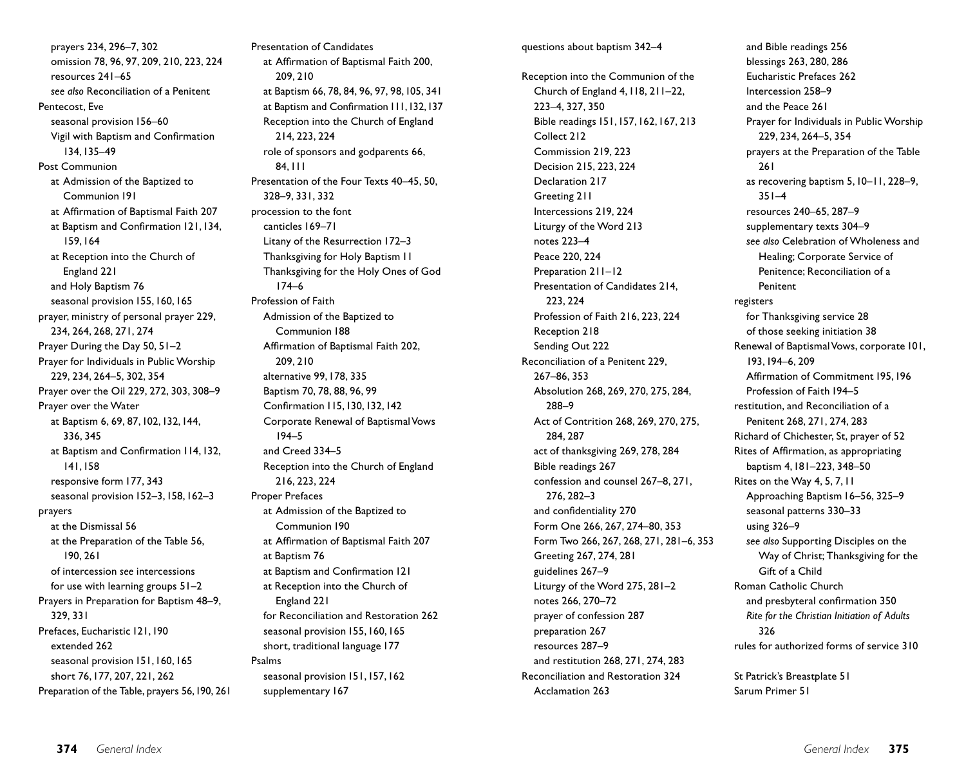prayers 234, 296–7, 302 omission 78, 96, 97, 209, 210, 223, 224 resources 241–65 *see also* Reconciliation of a Penitent Pentecost, Eve seasonal provision 156–60 Vigil with Baptism and Confirmation 134,135–49 Post Communion at Admission of the Baptized to Communion 191 at Affirmation of Baptismal Faith 207 at Baptism and Confirmation 121,134, 159,164 at Reception into the Church of England 221 and Holy Baptism 76 seasonal provision 155,160,165 prayer, ministry of personal prayer 229, 234, 264, 268, 271, 274 Prayer During the Day 50, 51–2 Prayer for Individuals in Public Worship 229, 234, 264–5, 302, 354 Prayer over the Oil 229, 272, 303, 308–9 Prayer over the Water at Baptism 6, 69, 87,102,132,144, 336, 345 at Baptism and Confirmation 114,132, 141,158 responsive form 177, 343 seasonal provision 152-3, 158, 162-3 prayers at the Dismissal 56 at the Preparation of the Table 56, 190, 261 of intercession *see* intercessions for use with learning groups 51–2 Prayers in Preparation for Baptism 48–9, 329, 331 Prefaces, Eucharistic 121,190 extended 262 seasonal provision 151,160,165 short 76,177, 207, 221, 262 Preparation of the Table, prayers 56,190, 261 Presentation of Candidates at Affirmation of Baptismal Faith 200, 209, 210 at Baptism 66, 78, 84, 96, 97, 98,105, 341 at Baptism and Confirmation 111,132,137 Reception into the Church of England 214, 223, 224 role of sponsors and godparents 66, 84,111 Presentation of the Four Texts 40–45, 50, 328–9, 331, 332 procession to the font canticles 169–71 Litany of the Resurrection 172–3 Thanksgiving for Holy Baptism 11 Thanksgiving for the Holy Ones of God 174–6 Profession of Faith Admission of the Baptized to Communion 188 Affirmation of Baptismal Faith 202, 209, 210 alternative 99,178, 335 Baptism 70, 78, 88, 96, 99 Confirmation 115,130,132,142 Corporate Renewal of Baptismal Vows 194–5 and Creed 334–5 Reception into the Church of England 216, 223, 224 Proper Prefaces at Admission of the Baptized to Communion 190 at Affirmation of Baptismal Faith 207 at Baptism 76 at Baptism and Confirmation 121 at Reception into the Church of England 221 for Reconciliation and Restoration 262 seasonal provision 155,160,165 short, traditional language 177 Psalms seasonal provision 151,157,162 supplementary 167

### questions about baptism 342–4

Reception into the Communion of the Church of England 4,118, 211–22, 223–4, 327, 350 Bible readings 151,157,162,167, 213 Collect 212 Commission 219, 223 Decision 215, 223, 224 Declaration 217 Greeting 211 Intercessions 219, 224 Liturgy of the Word 213 notes 223–4 Peace 220, 224 Preparation 211–12 Presentation of Candidates 214, 223, 224 Profession of Faith 216, 223, 224 Reception 218 Sending Out 222 Reconciliation of a Penitent 229, 267–86, 353 Absolution 268, 269, 270, 275, 284, 288–9 Act of Contrition 268, 269, 270, 275, 284, 287 act of thanksgiving 269, 278, 284 Bible readings 267 confession and counsel 267–8, 271, 276, 282–3 and confidentiality 270 Form One 266, 267, 274–80, 353 Form Two 266, 267, 268, 271, 281–6, 353 Greeting 267, 274, 281 guidelines 267–9 Liturgy of the Word 275, 281–2 notes 266, 270–72 prayer of confession 287 preparation 267 resources 287–9 and restitution 268, 271, 274, 283 Reconciliation and Restoration 324 Acclamation 263

and Bible readings 256 blessings 263, 280, 286 Eucharistic Prefaces 262 Intercession 258–9 and the Peace 261 Prayer for Individuals in Public Worship 229, 234, 264–5, 354 prayers at the Preparation of the Table 261 as recovering baptism 5,10–11, 228–9, 351–4 resources 240–65, 287–9 supplementary texts 304–9 *see also* Celebration of Wholeness and Healing; Corporate Service of Penitence; Reconciliation of a Penitent registers for Thanksgiving service 28 of those seeking initiation 38 Renewal of Baptismal Vows, corporate 101, 193,194–6, 209 Affirmation of Commitment 195,196 Profession of Faith 194–5 restitution, and Reconciliation of a Penitent 268, 271, 274, 283 Richard of Chichester, St, prayer of 52 Rites of Affirmation, as appropriating baptism 4,181–223, 348–50 Rites on the Way 4, 5, 7,11 Approaching Baptism 16–56, 325–9 seasonal patterns 330–33 using 326–9 *see also* Supporting Disciples on the Way of Christ; Thanksgiving for the Gift of a Child Roman Catholic Church and presbyteral confirmation 350 *Rite for the Christian Initiation of Adults* 326 rules for authorized forms of service 310

St Patrick's Breastplate 51 Sarum Primer 51